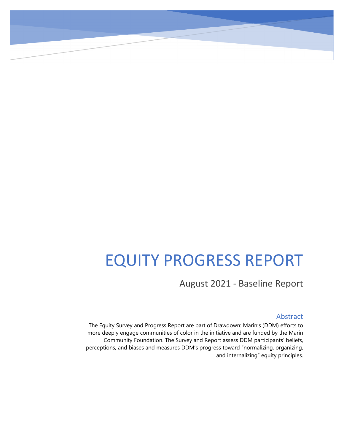# EQUITY PROGRESS REPORT

August 2021 - Baseline Report

# Abstract

The Equity Survey and Progress Report are part of Drawdown: Marin's (DDM) efforts to more deeply engage communities of color in the initiative and are funded by the Marin Community Foundation. The Survey and Report assess DDM participants' beliefs, perceptions, and biases and measures DDM's progress toward "normalizing, organizing, and internalizing" equity principles.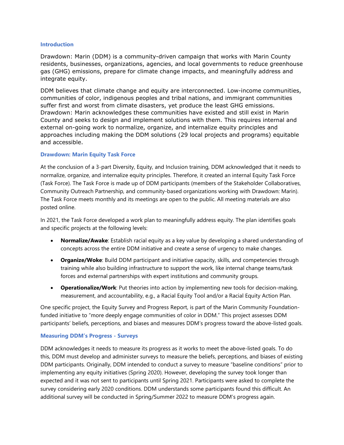#### **Introduction**

Drawdown: Marin (DDM) is a community-driven campaign that works with Marin County residents, businesses, organizations, agencies, and local governments to reduce greenhouse gas (GHG) emissions, prepare for climate change impacts, and meaningfully address and integrate equity.

DDM believes that climate change and equity are interconnected. Low-income communities, communities of color, indigenous peoples and tribal nations, and immigrant communities suffer first and worst from climate disasters, yet produce the least GHG emissions. Drawdown: Marin acknowledges these communities have existed and still exist in Marin County and seeks to design and implement solutions with them. This requires internal and external on-going work to normalize, organize, and internalize equity principles and approaches including making the DDM solutions (29 local projects and programs) equitable and accessible.

## **Drawdown: Marin Equity Task Force**

At the conclusion of a 3-part Diversity, Equity, and Inclusion training, DDM acknowledged that it needs to normalize, organize, and internalize equity principles. Therefore, it created an internal Equity Task Force (Task Force). The Task Force is made up of DDM participants (members of the Stakeholder Collaboratives, Community Outreach Partnership, and community-based organizations working with Drawdown: Marin). The Task Force meets monthly and its meetings are open to the public. All meeting materials are also posted online.

In 2021, the Task Force developed a work plan to meaningfully address equity. The plan identifies goals and specific projects at the following levels:

- **Normalize/Awake**: Establish racial equity as a key value by developing a shared understanding of concepts across the entire DDM initiative and create a sense of urgency to make changes.
- **Organize/Woke**: Build DDM participant and initiative capacity, skills, and competencies through training while also building infrastructure to support the work, like internal change teams/task forces and external partnerships with expert institutions and community groups.
- **Operationalize/Work**: Put theories into action by implementing new tools for decision-making, measurement, and accountability, e.g., a Racial Equity Tool and/or a Racial Equity Action Plan.

One specific project, the Equity Survey and Progress Report, is part of the Marin Community Foundationfunded initiative to "more deeply engage communities of color in DDM." This project assesses DDM participants' beliefs, perceptions, and biases and measures DDM's progress toward the above-listed goals.

#### **Measuring DDM's Progress - Surveys**

DDM acknowledges it needs to measure its progress as it works to meet the above-listed goals. To do this, DDM must develop and administer surveys to measure the beliefs, perceptions, and biases of existing DDM participants. Originally, DDM intended to conduct a survey to measure "baseline conditions" prior to implementing any equity initiatives (Spring 2020). However, developing the survey took longer than expected and it was not sent to participants until Spring 2021. Participants were asked to complete the survey considering early 2020 conditions. DDM understands some participants found this difficult. An additional survey will be conducted in Spring/Summer 2022 to measure DDM's progress again.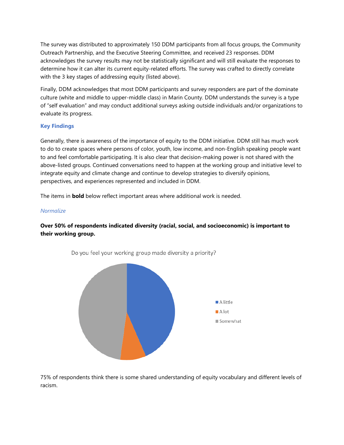The survey was distributed to approximately 150 DDM participants from all focus groups, the Community Outreach Partnership, and the Executive Steering Committee, and received 23 responses. DDM acknowledges the survey results may not be statistically significant and will still evaluate the responses to determine how it can alter its current equity-related efforts. The survey was crafted to directly correlate with the 3 key stages of addressing equity (listed above).

Finally, DDM acknowledges that most DDM participants and survey responders are part of the dominate culture (white and middle to upper-middle class) in Marin County. DDM understands the survey is a type of "self evaluation" and may conduct additional surveys asking outside individuals and/or organizations to evaluate its progress.

## **Key Findings**

Generally, there is awareness of the importance of equity to the DDM initiative. DDM still has much work to do to create spaces where persons of color, youth, low income, and non-English speaking people want to and feel comfortable participating. It is also clear that decision-making power is not shared with the above-listed groups. Continued conversations need to happen at the working group and initiative level to integrate equity and climate change and continue to develop strategies to diversify opinions, perspectives, and experiences represented and included in DDM.

The items in **bold** below reflect important areas where additional work is needed.

#### *Normalize*

# **Over 50% of respondents indicated diversity (racial, social, and socioeconomic) is important to their working group.**



Do you feel your working group made diversity a priority?

75% of respondents think there is some shared understanding of equity vocabulary and different levels of racism.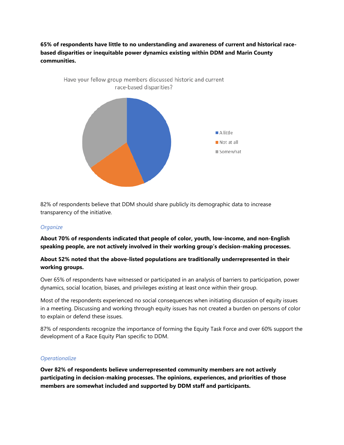**65% of respondents have little to no understanding and awareness of current and historical racebased disparities or inequitable power dynamics existing within DDM and Marin County communities.**



82% of respondents believe that DDM should share publicly its demographic data to increase transparency of the initiative.

#### *Organize*

**About 70% of respondents indicated that people of color, youth, low-income, and non-English speaking people, are not actively involved in their working group's decision-making processes.**

## **About 52% noted that the above-listed populations are traditionally underrepresented in their working groups.**

Over 65% of respondents have witnessed or participated in an analysis of barriers to participation, power dynamics, social location, biases, and privileges existing at least once within their group.

Most of the respondents experienced no social consequences when initiating discussion of equity issues in a meeting. Discussing and working through equity issues has not created a burden on persons of color to explain or defend these issues.

87% of respondents recognize the importance of forming the Equity Task Force and over 60% support the development of a Race Equity Plan specific to DDM.

#### *Operationalize*

**Over 82% of respondents believe underrepresented community members are not actively participating in decision-making processes. The opinions, experiences, and priorities of those members are somewhat included and supported by DDM staff and participants.**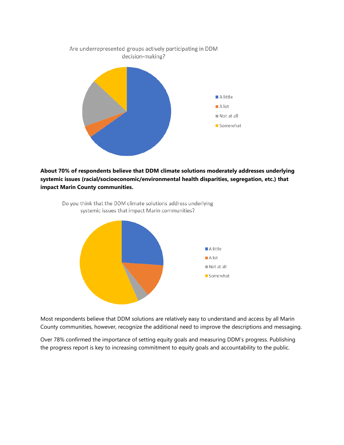

**About 70% of respondents believe that DDM climate solutions moderately addresses underlying systemic issues (racial/socioeconomic/environmental health disparities, segregation, etc.) that impact Marin County communities.** 



Do you think that the DDM climate solutions address underlying systemic issues that impact Marin communities?

Most respondents believe that DDM solutions are relatively easy to understand and access by all Marin County communities, however, recognize the additional need to improve the descriptions and messaging.

Over 78% confirmed the importance of setting equity goals and measuring DDM's progress. Publishing the progress report is key to increasing commitment to equity goals and accountability to the public.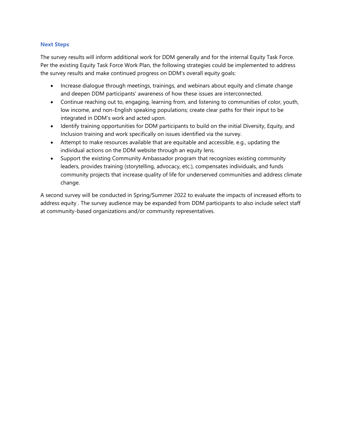#### **Next Steps**

The survey results will inform additional work for DDM generally and for the internal Equity Task Force. Per the existing Equity Task Force Work Plan, the following strategies could be implemented to address the survey results and make continued progress on DDM's overall equity goals:

- Increase dialogue through meetings, trainings, and webinars about equity and climate change and deepen DDM participants' awareness of how these issues are interconnected.
- Continue reaching out to, engaging, learning from, and listening to communities of color, youth, low income, and non-English speaking populations; create clear paths for their input to be integrated in DDM's work and acted upon.
- Identify training opportunities for DDM participants to build on the initial Diversity, Equity, and Inclusion training and work specifically on issues identified via the survey.
- Attempt to make resources available that are equitable and accessible, e.g., updating the individual actions on the DDM website through an equity lens.
- Support the existing Community Ambassador program that recognizes existing community leaders, provides training (storytelling, advocacy, etc.), compensates individuals, and funds community projects that increase quality of life for underserved communities and address climate change.

A second survey will be conducted in Spring/Summer 2022 to evaluate the impacts of increased efforts to address equity . The survey audience may be expanded from DDM participants to also include select staff at community-based organizations and/or community representatives.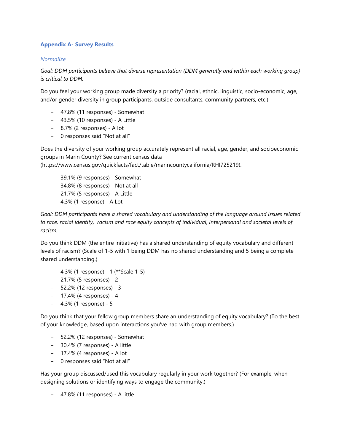## **Appendix A- Survey Results**

## *Normalize*

*Goal: DDM participants believe that diverse representation (DDM generally and within each working group) is critical to DDM.*

Do you feel your working group made diversity a priority? (racial, ethnic, linguistic, socio-economic, age, and/or gender diversity in group participants, outside consultants, community partners, etc.)

- 47.8% (11 responses) Somewhat
- 43.5% (10 responses) A Little
- 8.7% (2 responses) A lot
- 0 responses said "Not at all"

Does the diversity of your working group accurately represent all racial, age, gender, and socioeconomic groups in Marin County? See current census data

(https://www.census.gov/quickfacts/fact/table/marincountycalifornia/RHI725219).

- 39.1% (9 responses) Somewhat
- 34.8% (8 responses) Not at all
- 21.7% (5 responses) A Little
- 4.3% (1 response) A Lot

*Goal: DDM participants have a shared vocabulary and understanding of the language around issues related to race, racial identity, racism and race equity concepts of individual, interpersonal and societal levels of racism.*

Do you think DDM (the entire initiative) has a shared understanding of equity vocabulary and different levels of racism? (Scale of 1-5 with 1 being DDM has no shared understanding and 5 being a complete shared understanding.)

- 4,3% (1 response) 1 (\*\*Scale 1-5)
- 21.7% (5 responses) 2
- 52.2% (12 responses) 3
- 17.4% (4 responses) 4
- 4.3% (1 response) 5

Do you think that your fellow group members share an understanding of equity vocabulary? (To the best of your knowledge, based upon interactions you've had with group members.)

- 52.2% (12 responses) Somewhat
- 30.4% (7 responses) A little
- 17.4% (4 responses) A lot
- 0 responses said "Not at all"

Has your group discussed/used this vocabulary regularly in your work together? (For example, when designing solutions or identifying ways to engage the community.)

- 47.8% (11 responses) - A little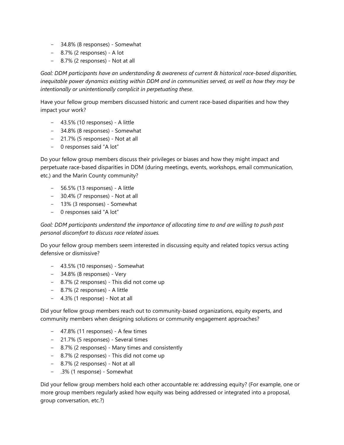- 34.8% (8 responses) Somewhat
- 8.7% (2 responses) A lot
- 8.7% (2 responses) Not at all

*Goal: DDM participants have an understanding & awareness of current & historical race-based disparities, inequitable power dynamics existing within DDM and in communities served, as well as how they may be intentionally or unintentionally complicit in perpetuating these.*

Have your fellow group members discussed historic and current race-based disparities and how they impact your work?

- 43.5% (10 responses) A little
- 34.8% (8 responses) Somewhat
- 21.7% (5 responses) Not at all
- 0 responses said "A lot"

Do your fellow group members discuss their privileges or biases and how they might impact and perpetuate race-based disparities in DDM (during meetings, events, workshops, email communication, etc.) and the Marin County community?

- 56.5% (13 responses) A little
- 30.4% (7 responses) Not at all
- 13% (3 responses) Somewhat
- 0 responses said "A lot"

*Goal: DDM participants understand the importance of allocating time to and are willing to push past personal discomfort to discuss race related issues.*

Do your fellow group members seem interested in discussing equity and related topics versus acting defensive or dismissive?

- 43.5% (10 responses) Somewhat
- 34.8% (8 responses) Very
- 8.7% (2 responses) This did not come up
- 8.7% (2 responses) A little
- 4.3% (1 response) Not at all

Did your fellow group members reach out to community-based organizations, equity experts, and community members when designing solutions or community engagement approaches?

- 47.8% (11 responses) A few times
- 21.7% (5 responses) Several times
- 8.7% (2 responses) Many times and consistently
- 8.7% (2 responses) This did not come up
- 8.7% (2 responses) Not at all
- .3% (1 response) Somewhat

Did your fellow group members hold each other accountable re: addressing equity? (For example, one or more group members regularly asked how equity was being addressed or integrated into a proposal, group conversation, etc.?)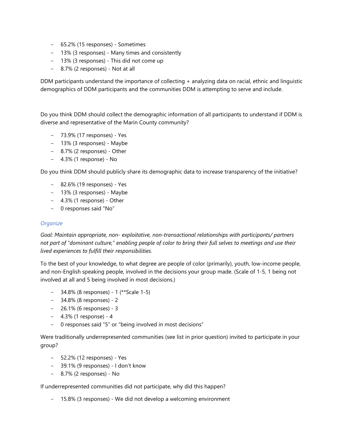- 65.2% (15 responses) Sometimes
- 13% (3 responses) Many times and consistently
- 13% (3 responses) This did not come up
- 8.7% (2 responses) Not at all

DDM participants understand the importance of collecting + analyzing data on racial, ethnic and linguistic demographics of DDM participants and the communities DDM is attempting to serve and include.

Do you think DDM should collect the demographic information of all participants to understand if DDM is diverse and representative of the Marin County community?

- 73.9% (17 responses) Yes
- 13% (3 responses) Maybe
- 8.7% (2 responses) Other
- 4.3% (1 response) No

Do you think DDM should publicly share its demographic data to increase transparency of the initiative?

- 82.6% (19 responses) Yes
- 13% (3 responses) Maybe
- 4.3% (1 response) Other
- 0 responses said "No"

#### *Organize*

*Goal: Maintain appropriate, non- exploitative, non-transactional relationships with participants/ partners not part of "dominant culture," enabling people of color to bring their full selves to meetings and use their lived experiences to fulfill their responsibilities.*

To the best of your knowledge, to what degree are people of color (primarily), youth, low-income people, and non-English speaking people, involved in the decisions your group made. (Scale of 1-5, 1 being not involved at all and 5 being involved in most decisions.)

- 34.8% (8 responses) 1 (\*\*Scale 1-5)
- 34.8% (8 responses) 2
- 26.1% (6 responses) 3
- 4.3% (1 response) 4
- 0 responses said "5" or "being involved in most decisions"

Were traditionally underrepresented communities (see list in prior question) invited to participate in your group?

- 52.2% (12 responses) Yes
- 39.1% (9 responses) I don't know
- 8.7% (2 responses) No

If underrepresented communities did not participate, why did this happen?

- 15.8% (3 responses) - We did not develop a welcoming environment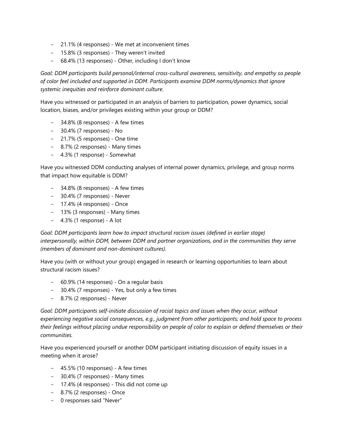- 21.1% (4 responses) We met at inconvenient times
- 15.8% (3 responses) They weren't invited
- 68.4% (13 responses) Other, including I don't know

*Goal: DDM participants build personal/internal cross-cultural awareness, sensitivity, and empathy so people of color feel included and supported in DDM. Participants examine DDM norms/dynamics that ignore systemic inequities and reinforce dominant culture.*

Have you witnessed or participated in an analysis of barriers to participation, power dynamics, social location, biases, and/or privileges existing within your group or DDM?

- 34.8% (8 responses) A few times
- 30.4% (7 responses) No
- 21.7% (5 responses) One time
- 8.7% (2 responses) Many times
- 4.3% (1 response) Somewhat

Have you witnessed DDM conducting analyses of internal power dynamics, privilege, and group norms that impact how equitable is DDM?

- 34.8% (8 responses) A few times
- 30.4% (7 responses) Never
- 17.4% (4 responses) Once
- 13% (3 responses) Many times
- 4.3% (1 response) A lot

*Goal: DDM participants learn how to impact structural racism issues (defined in earlier stage) interpersonally, within DDM, between DDM and partner organizations, and in the communities they serve (members of dominant and non-dominant cultures).*

Have you (with or without your group) engaged in research or learning opportunities to learn about structural racism issues?

- 60.9% (14 responses) On a regular basis
- 30.4% (7 responses) Yes, but only a few times
- 8.7% (2 responses) Never

*Goal: DDM participants self-initiate discussion of racial topics and issues when they occur, without experiencing negative social consequences, e.g., judgment from other participants; and hold space to process their feelings without placing undue responsibility on people of color to explain or defend themselves or their communities.*

Have you experienced yourself or another DDM participant initiating discussion of equity issues in a meeting when it arose?

- 45.5% (10 responses) A few times
- 30.4% (7 responses) Many times
- 17.4% (4 responses) This did not come up
- 8.7% (2 responses) Once
- 0 responses said "Never"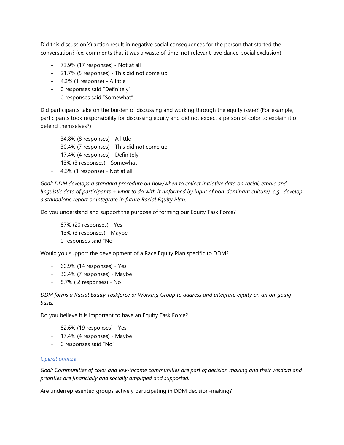Did this discussion(s) action result in negative social consequences for the person that started the conversation? (ex: comments that it was a waste of time, not relevant, avoidance, social exclusion)

- 73.9% (17 responses) Not at all
- 21.7% (5 responses) This did not come up
- 4.3% (1 response) A little
- 0 responses said "Definitely"
- 0 responses said "Somewhat"

Did participants take on the burden of discussing and working through the equity issue? (For example, participants took responsibility for discussing equity and did not expect a person of color to explain it or defend themselves?)

- 34.8% (8 responses) A little
- 30.4% (7 responses) This did not come up
- 17.4% (4 responses) Definitely
- 13% (3 responses) Somewhat
- 4.3% (1 response) Not at all

*Goal: DDM develops a standard procedure on how/when to collect initiative data on racial, ethnic and linguistic data of participants + what to do with it (informed by input of non-dominant culture), e.g., develop a standalone report or integrate in future Racial Equity Plan.*

Do you understand and support the purpose of forming our Equity Task Force?

- 87% (20 responses) Yes
- 13% (3 responses) Maybe
- 0 responses said "No"

Would you support the development of a Race Equity Plan specific to DDM?

- 60.9% (14 responses) Yes
- 30.4% (7 responses) Maybe
- 8.7% ( 2 responses) No

*DDM forms a Racial Equity Taskforce or Working Group to address and integrate equity on an on-going basis.*

Do you believe it is important to have an Equity Task Force?

- 82.6% (19 responses) Yes
- 17.4% (4 responses) Maybe
- 0 responses said "No"

#### *Operationalize*

*Goal: Communities of color and low-income communities are part of decision making and their wisdom and priorities are financially and socially amplified and supported.*

Are underrepresented groups actively participating in DDM decision-making?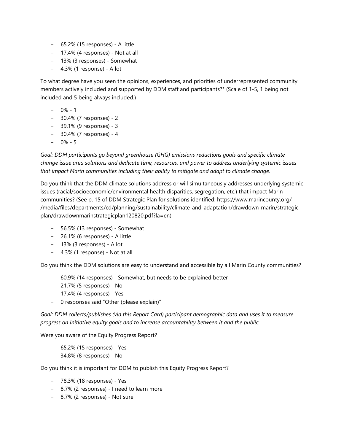- 65.2% (15 responses) A little
- 17.4% (4 responses) Not at all
- 13% (3 responses) Somewhat
- 4.3% (1 response) A lot

To what degree have you seen the opinions, experiences, and priorities of underrepresented community members actively included and supported by DDM staff and participants?\* (Scale of 1-5, 1 being not included and 5 being always included.)

- $0\% 1$
- 30.4% (7 responses) 2
- 39.1% (9 responses) 3
- 30.4% (7 responses) 4
- $0\% 5$

*Goal: DDM participants go beyond greenhouse (GHG) emissions reductions goals and specific climate change issue area solutions and dedicate time, resources, and power to address underlying systemic issues that impact Marin communities including their ability to mitigate and adapt to climate change.*

Do you think that the DDM climate solutions address or will simultaneously addresses underlying systemic issues (racial/socioeconomic/environmental health disparities, segregation, etc.) that impact Marin communities? (See p. 15 of DDM Strategic Plan for solutions identified: https://www.marincounty.org/- /media/files/departments/cd/planning/sustainability/climate-and-adaptation/drawdown-marin/strategicplan/drawdownmarinstrategicplan120820.pdf?la=en)

- 56.5% (13 responses) Somewhat
- 26.1% (6 responses) A little
- 13% (3 responses) A lot
- 4.3% (1 response) Not at all

Do you think the DDM solutions are easy to understand and accessible by all Marin County communities?

- 60.9% (14 responses) Somewhat, but needs to be explained better
- 21.7% (5 responses) No
- 17.4% (4 responses) Yes
- 0 responses said "Other (please explain)"

*Goal: DDM collects/publishes (via this Report Card) participant demographic data and uses it to measure progress on initiative equity goals and to increase accountability between it and the public.*

Were you aware of the Equity Progress Report?

- 65.2% (15 responses) Yes
- 34.8% (8 responses) No

Do you think it is important for DDM to publish this Equity Progress Report?

- 78.3% (18 responses) Yes
- 8.7% (2 responses) I need to learn more
- 8.7% (2 responses) Not sure